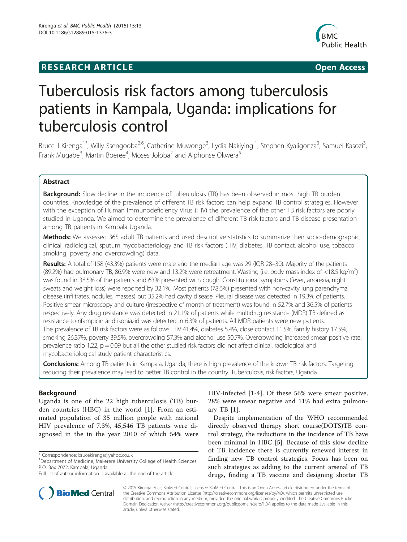## **RESEARCH ARTICLE Example 2014 12:30 The SEAR CHA R TIGGS**



# Tuberculosis risk factors among tuberculosis patients in Kampala, Uganda: implications for tuberculosis control

Bruce J Kirenga<sup>1\*</sup>, Willy Ssengooba<sup>2,6</sup>, Catherine Muwonge<sup>3</sup>, Lydia Nakiyingi<sup>1</sup>, Stephen Kyaligonza<sup>3</sup>, Samuel Kasozi<sup>3</sup> , Frank Mugabe<sup>3</sup>, Martin Boeree<sup>4</sup>, Moses Joloba<sup>2</sup> and Alphonse Okwera<sup>5</sup>

## Abstract

**Background:** Slow decline in the incidence of tuberculosis (TB) has been observed in most high TB burden countries. Knowledge of the prevalence of different TB risk factors can help expand TB control strategies. However with the exception of Human Immunodeficiency Virus (HIV) the prevalence of the other TB risk factors are poorly studied in Uganda. We aimed to determine the prevalence of different TB risk factors and TB disease presentation among TB patients in Kampala Uganda.

Methods: We assessed 365 adult TB patients and used descriptive statistics to summarize their socio-demographic, clinical, radiological, sputum mycobacteriology and TB risk factors (HIV, diabetes, TB contact, alcohol use, tobacco smoking, poverty and overcrowding) data.

Results: A total of 158 (43.3%) patients were male and the median age was 29 (IQR 28-30). Majority of the patients (89.2%) had pulmonary TB, 86.9% were new and 13.2% were retreatment. Wasting (i.e. body mass index of <18.5 kg/m<sup>2</sup>) was found in 38.5% of the patients and 63% presented with cough. Constitutional symptoms (fever, anorexia, night sweats and weight loss) were reported by 32.1%. Most patients (78.6%) presented with non-cavity lung parenchyma disease (infiltrates, nodules, masses) but 35.2% had cavity disease. Pleural disease was detected in 19.3% of patients. Positive smear microscopy and culture (irrespective of month of treatment) was found in 52.7% and 36.5% of patients respectively. Any drug resistance was detected in 21.1% of patients while multidrug resistance (MDR) TB defined as resistance to rifampicin and isoniazid was detected in 6.3% of patients. All MDR patients were new patients. The prevalence of TB risk factors were as follows: HIV 41.4%, diabetes 5.4%, close contact 11.5%, family history 17.5%, smoking 26.37%, poverty 39.5%, overcrowding 57.3% and alcohol use 50.7%. Overcrowding increased smear positive rate, prevalence ratio 1.22,  $p = 0.09$  but all the other studied risk factors did not affect clinical, radiological and mycobacteriological study patient characteristics.

Conclusions: Among TB patients in Kampala, Uganda, there is high prevalence of the known TB risk factors. Targeting reducing their prevalence may lead to better TB control in the country. Tuberculosis, risk factors, Uganda.

## Background

Uganda is one of the 22 high tuberculosis (TB) burden countries (HBC) in the world [\[1](#page-5-0)]. From an estimated population of 35 million people with national HIV prevalence of 7.3%, 45,546 TB patients were diagnosed in the in the year 2010 of which 54% were



Despite implementation of the WHO recommended directly observed therapy short course(DOTS)TB control strategy, the reductions in the incidence of TB have been minimal in HBC [\[5](#page-5-0)]. Because of this slow decline of TB incidence there is currently renewed interest in finding new TB control strategies. Focus has been on such strategies as adding to the current arsenal of TB drugs, finding a TB vaccine and designing shorter TB



© 2015 Kirenga et al.; BioMed Central; licensee BioMed Central. This is an Open Access article distributed under the terms of the Creative Commons Attribution License [\(http://creativecommons.org/licenses/by/4.0\)](http://creativecommons.org/licenses/by/4.0), which permits unrestricted use, distribution, and reproduction in any medium, provided the original work is properly credited. The Creative Commons Public Domain Dedication waiver [\(http://creativecommons.org/publicdomain/zero/1.0/\)](http://creativecommons.org/publicdomain/zero/1.0/) applies to the data made available in this article, unless otherwise stated.

<sup>\*</sup> Correspondence: [brucekirenga@yahoo.co.uk](mailto:brucekirenga@yahoo.co.uk) <sup>1</sup>

<sup>&</sup>lt;sup>1</sup>Department of Medicine, Makerere University College of Health Sciences, P.O. Box 7072, Kampala, Uganda

Full list of author information is available at the end of the article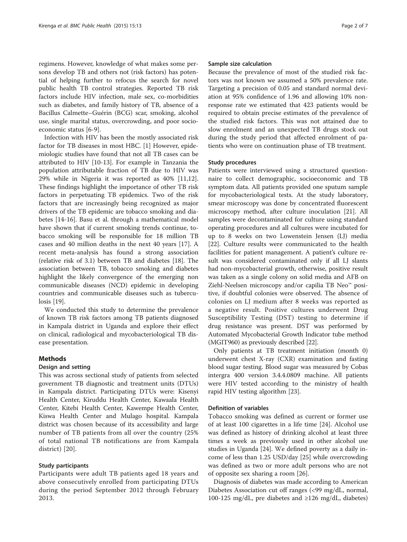regimens. However, knowledge of what makes some persons develop TB and others not (risk factors) has potential of helping further to refocus the search for novel public health TB control strategies. Reported TB risk factors include HIV infection, male sex, co-morbidities such as diabetes, and family history of TB, absence of a Bacillus Calmette–Guérin (BCG) scar, smoking, alcohol use, single marital status, overcrowding, and poor socioeconomic status [\[6-9](#page-5-0)].

Infection with HIV has been the mostly associated risk factor for TB diseases in most HBC. [[1\]](#page-5-0) However, epidemiologic studies have found that not all TB cases can be attributed to HIV [\[10](#page-5-0)-[13\]](#page-5-0). For example in Tanzania the population attributable fraction of TB due to HIV was 29% while in Nigeria it was reported as 40% [\[11,12](#page-5-0)]. These findings highlight the importance of other TB risk factors in perpetuating TB epidemics. Two of the risk factors that are increasingly being recognized as major drivers of the TB epidemic are tobacco smoking and diabetes [\[14](#page-5-0)-[16](#page-5-0)]. Basu et al. through a mathematical model have shown that if current smoking trends continue, tobacco smoking will be responsible for 18 million TB cases and 40 million deaths in the next 40 years [[17\]](#page-6-0). A recent meta-analysis has found a strong association (relative risk of 3.1) between TB and diabetes [\[18](#page-6-0)]. The association between TB, tobacco smoking and diabetes highlight the likely convergence of the emerging non communicable diseases (NCD) epidemic in developing countries and communicable diseases such as tuberculosis [[19](#page-6-0)].

We conducted this study to determine the prevalence of known TB risk factors among TB patients diagnosed in Kampala district in Uganda and explore their effect on clinical, radiological and mycobacteriological TB disease presentation.

## Methods

## Design and setting

This was across sectional study of patients from selected government TB diagnostic and treatment units (DTUs) in Kampala district. Participating DTUs were: Kisenyi Health Center, Kiruddu Health Center, Kawaala Health Center, Kitebi Health Center, Kawempe Health Center, Kiswa Health Center and Mulago hospital. Kampala district was chosen because of its accessibility and large number of TB patients from all over the country (25% of total national TB notifications are from Kampala district) [\[20\]](#page-6-0).

## Study participants

Participants were adult TB patients aged 18 years and above consecutively enrolled from participating DTUs during the period September 2012 through February 2013.

### Sample size calculation

Because the prevalence of most of the studied risk factors was not known we assumed a 50% prevalence rate. Targeting a precision of 0.05 and standard normal deviation at 95% confidence of 1.96 and allowing 10% nonresponse rate we estimated that 423 patients would be required to obtain precise estimates of the prevalence of the studied risk factors. This was not attained due to slow enrolment and an unexpected TB drugs stock out during the study period that affected enrolment of patients who were on continuation phase of TB treatment.

## Study procedures

Patients were interviewed using a structured questionnaire to collect demographic, socioeconomic and TB symptom data. All patients provided one sputum sample for mycobacteriological tests. At the study laboratory, smear microscopy was done by concentrated fluorescent microscopy method, after culture inoculation [\[21](#page-6-0)]. All samples were decontaminated for culture using standard operating procedures and all cultures were incubated for up to 8 weeks on two Lowenstein Jensen (LJ) media [[22\]](#page-6-0). Culture results were communicated to the health facilities for patient management. A patient's culture result was considered contaminated only if all LJ slants had non-mycobacterial growth, otherwise, positive result was taken as a single colony on solid media and AFB on Ziehl-Neelsen microscopy and/or capilia TB Neo™ positive, if doubtful colonies were observed. The absence of colonies on LJ medium after 8 weeks was reported as a negative result. Positive cultures underwent Drug Susceptibility Testing (DST) testing to determine if drug resistance was present. DST was performed by Automated Mycobacterial Growth Indicator tube method (MGIT960) as previously described [\[22\]](#page-6-0).

Only patients at TB treatment initiation (month 0) underwent chest X-ray (CXR) examination and fasting blood sugar testing. Blood sugar was measured by Cobas intergra 400 version 3.4.4.0809 machine. All patients were HIV tested according to the ministry of health rapid HIV testing algorithm [\[23\]](#page-6-0).

## Definition of variables

Tobacco smoking was defined as current or former use of at least 100 cigarettes in a life time [24]. Alcohol use was defined as history of drinking alcohol at least three times a week as previously used in other alcohol use studies in Uganda [\[24](#page-6-0)]. We defined poverty as a daily income of less than 1.25 USD/day [\[25](#page-6-0)] while overcrowding was defined as two or more adult persons who are not of opposite sex sharing a room [\[26](#page-6-0)].

Diagnosis of diabetes was made according to American Diabetes Association cut off ranges (<99 mg/dL, normal, 100-125 mg/dL, pre diabetes and ≥126 mg/dL, diabetes)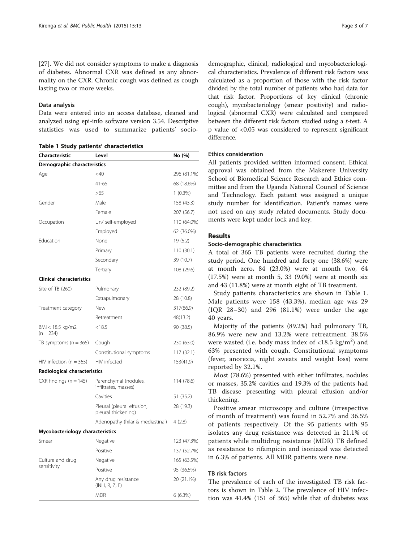[[27\]](#page-6-0). We did not consider symptoms to make a diagnosis of diabetes. Abnormal CXR was defined as any abnormality on the CXR. Chronic cough was defined as cough lasting two or more weeks.

## Data analysis

Data were entered into an access database, cleaned and analyzed using epi-info software version 3.54. Descriptive statistics was used to summarize patients' socio-

Table 1 Study patients' characteristics

| Characteristic                   | Level                                             | No (%)      |  |
|----------------------------------|---------------------------------------------------|-------------|--|
| Demographic characteristics      |                                                   |             |  |
| Age                              | $<$ 40                                            | 296 (81.1%) |  |
|                                  | $41 - 65$                                         | 68 (18.6%)  |  |
|                                  | >65                                               | $1(0.3\%)$  |  |
| Gender                           | Male                                              | 158 (43.3)  |  |
|                                  | Female                                            | 207 (56.7)  |  |
| Occupation                       | Un/ self-employed                                 | 110 (64.0%) |  |
|                                  | Employed                                          | 62 (36.0%)  |  |
| Education                        | None                                              | 19(5.2)     |  |
|                                  | Primary                                           | 110 (30.1)  |  |
|                                  | Secondary                                         | 39 (10.7)   |  |
|                                  | Tertiary                                          | 108 (29.6)  |  |
| <b>Clinical characteristics</b>  |                                                   |             |  |
| Site of TB (260)                 | Pulmonary                                         | 232 (89.2)  |  |
|                                  | Extrapulmonary                                    | 28 (10.8)   |  |
| Treatment category               | New                                               | 317(86.9)   |  |
|                                  | Retreatment                                       | 48(13.2)    |  |
| BMI < 18.5 kg/m2<br>$(n = 234)$  | < 18.5                                            | 90 (38.5)   |  |
| TB symptoms $(n = 365)$          | Cough                                             | 230 (63.0)  |  |
|                                  | Constitutional symptoms                           | 117 (32.1)  |  |
| $HIV$ infection (n = 365)        | HIV infected                                      | 153(41.9)   |  |
| Radiological characteristics     |                                                   |             |  |
| $CXR$ findings (n = 145)         | Parenchymal (nodules,<br>infiltrates, masses)     | 114 (78.6)  |  |
|                                  | Cavities                                          | 51 (35.2)   |  |
|                                  | Pleural (pleural effusion,<br>pleural thickening) | 28 (19.3)   |  |
|                                  | Adenopathy (hilar & mediastinal)                  | 4(2.8)      |  |
| Mycobacteriology characteristics |                                                   |             |  |
| Smear                            | Negative                                          | 123 (47.3%) |  |
|                                  | Positive                                          | 137 (52.7%) |  |
| Culture and drug                 | Negative                                          | 165 (63.5%) |  |
| sensitivity                      | Positive                                          | 95 (36.5%)  |  |
|                                  | Any drug resistance<br>(INH, R, Z, E)             | 20 (21.1%)  |  |
|                                  | <b>MDR</b>                                        | 6(6.3%)     |  |

demographic, clinical, radiological and mycobacteriological characteristics. Prevalence of different risk factors was calculated as a proportion of those with the risk factor divided by the total number of patients who had data for that risk factor. Proportions of key clinical (chronic cough), mycobacteriology (smear positivity) and radiological (abnormal CXR) were calculated and compared between the different risk factors studied using a t-test. A p value of <0.05 was considered to represent significant difference.

## Ethics consideration

All patients provided written informed consent. Ethical approval was obtained from the Makerere University School of Biomedical Science Research and Ethics committee and from the Uganda National Council of Science and Technology. Each patient was assigned a unique study number for identification. Patient's names were not used on any study related documents. Study documents were kept under lock and key.

## Results

#### Socio-demographic characteristics

A total of 365 TB patients were recruited during the study period. One hundred and forty one (38.6%) were at month zero, 84 (23.0%) were at month two, 64 (17.5%) were at month 5, 33 (9.0%) were at month six and 43 (11.8%) were at month eight of TB treatment.

Study patients characteristics are shown in Table 1. Male patients were 158 (43.3%), median age was 29 (IQR 28–30) and 296 (81.1%) were under the age 40 years.

Majority of the patients (89.2%) had pulmonary TB, 86.9% were new and 13.2% were retreatment. 38.5% were wasted (i.e. body mass index of  $\langle 18.5 \text{ kg/m}^2 \rangle$  and 63% presented with cough. Constitutional symptoms (fever, anorexia, night sweats and weight loss) were reported by 32.1%.

Most (78.6%) presented with either infiltrates, nodules or masses, 35.2% cavities and 19.3% of the patients had TB disease presenting with pleural effusion and/or thickening.

Positive smear microscopy and culture (irrespective of month of treatment) was found in 52.7% and 36.5% of patients respectively. Of the 95 patients with 95 isolates any drug resistance was detected in 21.1% of patients while multidrug resistance (MDR) TB defined as resistance to rifampicin and isoniazid was detected in 6.3% of patients. All MDR patients were new.

## TB risk factors

The prevalence of each of the investigated TB risk factors is shown in Table [2](#page-3-0). The prevalence of HIV infection was 41.4% (151 of 365) while that of diabetes was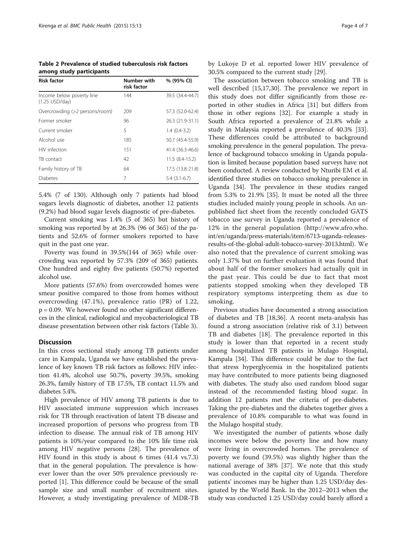<span id="page-3-0"></span>Table 2 Prevalence of studied tuberculosis risk factors among study participants

| <b>Risk factor</b>                            | Number with<br>risk factor | % (95% CI)       |
|-----------------------------------------------|----------------------------|------------------|
| Income below poverty line<br>$(1.25$ USD/day) | 144                        | 39.5 (34.4-44.7) |
| Overcrowding (>2 persons/room)                | 209                        | 57.3 (52.0-62.4) |
| Former smoker                                 | 96                         | 26.3 (21.9-31.1) |
| Current smoker                                | 5                          | $1.4(0.4-3.2)$   |
| Alcohol use                                   | 185                        | 50.7 (45.4-55.9) |
| HIV infection                                 | 151                        | 41.4 (36.3-46.6) |
| TB contact                                    | 42                         | $11.5(8.4-15.2)$ |
| Family history of TB                          | 64                         | 17.5 (13.8-21.8) |
| <b>Diabetes</b>                               | 7                          | $5.4(3.1-6.7)$   |

5.4% (7 of 130). Although only 7 patients had blood sugars levels diagnostic of diabetes, another 12 patients (9.2%) had blood sugar levels diagnostic of pre-diabetes.

Current smoking was 1.4% (5 of 365) but history of smoking was reported by at 26.3% (96 of 365) of the patients and 52.6% of former smokers reported to have quit in the past one year.

Poverty was found in 39.5%(144 of 365) while overcrowding was reported by 57.3% (209 of 365) patients. One hundred and eighty five patients (50.7%) reported alcohol use.

More patients (57.6%) from overcrowded homes were smear positive compared to those from homes without overcrowding (47.1%), prevalence ratio (PR) of 1.22, p = 0.09. We however found no other significant differences in the clinical, radiological and mycobacteriological TB disease presentation between other risk factors (Table [3](#page-4-0)).

## **Discussion**

In this cross sectional study among TB patients under care in Kampala, Uganda we have established the prevalence of key known TB risk factors as follows: HIV infection 41.4%, alcohol use 50.7%, poverty 39.5%, smoking 26.3%, family history of TB 17.5%, TB contact 11.5% and diabetes 5.4%.

High prevalence of HIV among TB patients is due to HIV associated immune suppression which increases risk for TB through reactivation of latent TB disease and increased proportion of persons who progress from TB infection to disease. The annual risk of TB among HIV patients is 10%/year compared to the 10% life time risk among HIV negative persons [[28](#page-6-0)]. The prevalence of HIV found in this study is about 6 times (41.4 vs.7.3) that in the general population. The prevalence is however lower than the over 50% prevalence previously reported [[1\]](#page-5-0). This difference could be because of the small sample size and small number of recruitment sites. However, a study investigating prevalence of MDR-TB

by Lukoye D et al. reported lower HIV prevalence of 30.5% compared to the current study [\[29\]](#page-6-0).

The association between tobacco smoking and TB is well described [\[15](#page-5-0)[,17,30](#page-6-0)]. The prevalence we report in this study does not differ significantly from those reported in other studies in Africa [[31\]](#page-6-0) but differs from those in other regions [\[32](#page-6-0)]. For example a study in South Africa reported a prevalence of 21.8% while a study in Malaysia reported a prevalence of 40.3% [\[33](#page-6-0)]. These differences could be attributed to background smoking prevalence in the general population. The prevalence of background tobacco smoking in Uganda population is limited because population based surveys have not been conducted. A review conducted by Nturibi EM et al. identified three studies on tobacco smoking prevalence in Uganda [[34\]](#page-6-0). The prevalence in these studies ranged from 5.3% to 21.9% [[35\]](#page-6-0). It must be noted all the three studies included mainly young people in schools. An unpublished fact sheet from the recently concluded GATS tobacco use survey in Uganda reported a prevalence of 12% in the general population [\(http://www.afro.who.](http://www.afro.who.int/en/uganda/press-materials/item/6713-uganda-releases-results-of-the-global-adult-tobacco-survey-2013.html) [int/en/uganda/press-materials/item/6713-uganda-releases](http://www.afro.who.int/en/uganda/press-materials/item/6713-uganda-releases-results-of-the-global-adult-tobacco-survey-2013.html)[results-of-the-global-adult-tobacco-survey-2013.html](http://www.afro.who.int/en/uganda/press-materials/item/6713-uganda-releases-results-of-the-global-adult-tobacco-survey-2013.html)). We also noted that the prevalence of current smoking was only 1.37% but on further evaluation it was found that about half of the former smokers had actually quit in the past year. This could be due to fact that most patients stopped smoking when they developed TB respiratory symptoms interpreting them as due to smoking.

Previous studies have documented a strong association of diabetes and TB [\[18,36](#page-6-0)]. A recent meta-analysis has found a strong association (relative risk of 3.1) between TB and diabetes [[18](#page-6-0)]. The prevalence reported in this study is lower than that reported in a recent study among hospitalized TB patients in Mulago Hospital, Kampala [[34\]](#page-6-0). This difference could be due to the fact that stress hyperglycemia in the hospitalized patients may have contributed to more patients being diagnosed with diabetes. The study also used random blood sugar instead of the recommended fasting blood sugar. In addition 12 patients met the criteria of pre-diabetes. Taking the pre-diabetes and the diabetes together gives a prevalence of 10.8% comparable to what was found in the Mulago hospital study.

We investigated the number of patients whose daily incomes were below the poverty line and how many were living in overcrowded homes. The prevalence of poverty we found (39.5%) was slightly higher than the national average of 38% [[37\]](#page-6-0). We note that this study was conducted in the capital city of Uganda. Therefore patients' incomes may be higher than 1.25 USD/day designated by the World Bank. In the 2012–2013 when the study was conducted 1.25 USD/day could barely afford a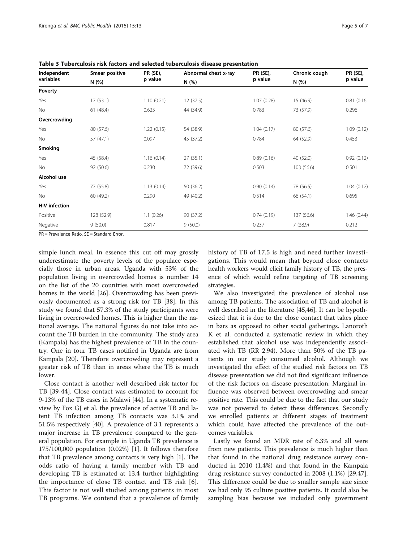| Independent<br>variables | Smear positive<br>N(%) | PR (SE),   | Abnormal chest x-ray<br>N(%) | <b>PR (SE),</b> | Chronic cough<br>N(%) | <b>PR (SE),</b><br>p value |
|--------------------------|------------------------|------------|------------------------------|-----------------|-----------------------|----------------------------|
|                          |                        | p value    |                              | p value         |                       |                            |
| Poverty                  |                        |            |                              |                 |                       |                            |
| Yes                      | 17(53.1)               | 1.10(0.21) | 12(37.5)                     | 1.07(0.28)      | 15 (46.9)             | 0.81(0.16)                 |
| No                       | 61(48.4)               | 0.625      | 44 (34.9)                    | 0.783           | 73 (57.9)             | 0.296                      |
| Overcrowding             |                        |            |                              |                 |                       |                            |
| Yes                      | 80 (57.6)              | 1.22(0.15) | 54 (38.9)                    | 1.04(0.17)      | 80 (57.6)             | 1.09(0.12)                 |
| <b>No</b>                | 57 (47.1)              | 0.097      | 45 (37.2)                    | 0.784           | 64 (52.9)             | 0.453                      |
| Smoking                  |                        |            |                              |                 |                       |                            |
| Yes                      | 45 (58.4)              | 1.16(0.14) | 27(35.1)                     | 0.89(0.16)      | 40 (52.0)             | 0.92(0.12)                 |
| <b>No</b>                | 92 (50.6)              | 0.230      | 72 (39.6)                    | 0.503           | 103 (56.6)            | 0.501                      |
| Alcohol use              |                        |            |                              |                 |                       |                            |
| Yes                      | 77 (55.8)              | 1.13(0.14) | 50 (36.2)                    | 0.90(0.14)      | 78 (56.5)             | 1.04(0.12)                 |
| <b>No</b>                | 60 (49.2)              | 0.290      | 49 (40.2)                    | 0.514           | 66 (54.1)             | 0.695                      |
| <b>HIV</b> infection     |                        |            |                              |                 |                       |                            |
| Positive                 | 128 (52.9)             | 1.1(0.26)  | 90 (37.2)                    | 0.74(0.19)      | 137 (56.6)            | 1.46(0.44)                 |
| Negative                 | 9(50.0)                | 0.817      | 9(50.0)                      | 0.237           | 7(38.9)               | 0.212                      |

<span id="page-4-0"></span>Table 3 Tuberculosis risk factors and selected tuberculosis disease presentation

PR = Prevalence Ratio, SE = Standard Error.

simple lunch meal. In essence this cut off may grossly underestimate the poverty levels of the populace especially those in urban areas. Uganda with 53% of the population living in overcrowded homes is number 14 on the list of the 20 countries with most overcrowded homes in the world [[26](#page-6-0)]. Overcrowding has been previously documented as a strong risk for TB [\[38](#page-6-0)]. In this study we found that 57.3% of the study participants were living in overcrowded homes. This is higher than the national average. The national figures do not take into account the TB burden in the community. The study area (Kampala) has the highest prevalence of TB in the country. One in four TB cases notified in Uganda are from Kampala [[20](#page-6-0)]. Therefore overcrowding may represent a greater risk of TB than in areas where the TB is much lower.

Close contact is another well described risk factor for TB [\[39-44](#page-6-0)]. Close contact was estimated to account for 9-13% of the TB cases in Malawi [[44\]](#page-6-0). In a systematic review by Fox GJ et al. the prevalence of active TB and latent TB infection among TB contacts was 3.1% and 51.5% respectively [[40\]](#page-6-0). A prevalence of 3.1 represents a major increase in TB prevalence compared to the general population. For example in Uganda TB prevalence is 175/100,000 population (0.02%) [[1\]](#page-5-0). It follows therefore that TB prevalence among contacts is very high [[1\]](#page-5-0). The odds ratio of having a family member with TB and developing TB is estimated at 13.4 further highlighting the importance of close TB contact and TB risk [[6](#page-5-0)]. This factor is not well studied among patients in most TB programs. We contend that a prevalence of family history of TB of 17.5 is high and need further investigations. This would mean that beyond close contacts health workers would elicit family history of TB, the presence of which would refine targeting of TB screening strategies.

We also investigated the prevalence of alcohol use among TB patients. The association of TB and alcohol is well described in the literature [[45,46\]](#page-6-0). It can be hypothesized that it is due to the close contact that takes place in bars as opposed to other social gatherings. Lanoroth K et al. conducted a systematic review in which they established that alcohol use was independently associated with TB (RR 2.94). More than 50% of the TB patients in our study consumed alcohol. Although we investigated the effect of the studied risk factors on TB disease presentation we did not find significant influence of the risk factors on disease presentation. Marginal influence was observed between overcrowding and smear positive rate. This could be due to the fact that our study was not powered to detect these differences. Secondly we enrolled patients at different stages of treatment which could have affected the prevalence of the outcomes variables.

Lastly we found an MDR rate of 6.3% and all were from new patients. This prevalence is much higher than that found in the national drug resistance survey conducted in 2010 (1.4%) and that found in the Kampala drug resistance survey conducted in 2008 (1.1%) [\[29,47](#page-6-0)]. This difference could be due to smaller sample size since we had only 95 culture positive patients. It could also be sampling bias because we included only government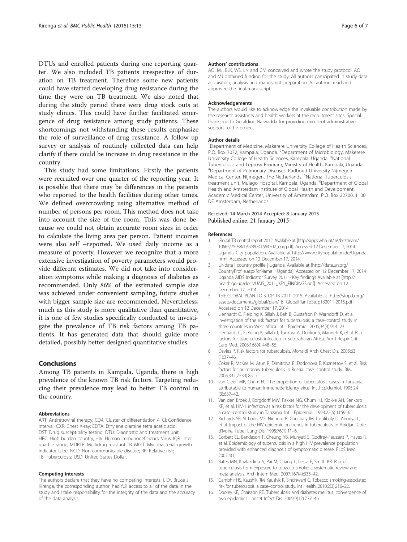<span id="page-5-0"></span>DTUs and enrolled patients during one reporting quarter. We also included TB patients irrespective of duration on TB treatment. Therefore some new patients could have started developing drug resistance during the time they were on TB treatment. We also noted that during the study period there were drug stock outs at study clinics. This could have further facilitated emergence of drug resistance among study patients. These shortcomings not withstanding these results emphasize the role of surveillance of drug resistance. A follow up survey or analysis of routinely collected data can help clarify if there could be increase in drug resistance in the country.

This study had some limitations. Firstly the patients were recruited over one quarter of the reporting year. It is possible that there may be differences in the patients who reported to the health facilities during other times. We defined overcrowding using alternative method of number of persons per room. This method does not take into account the size of the room. This was done because we could not obtain accurate room sizes in order to calculate the living area per person. Patient incomes were also self –reported. We used daily income as a measure of poverty. However we recognize that a more extensive investigation of poverty parameters would provide different estimates. We did not take into consideration symptoms while making a diagnosis of diabetes as recommended. Only 86% of the estimated sample size was achieved under convenient sampling, future studies with bigger sample size are recommended. Nevertheless, much as this study is more qualitative than quantitative, it is one of few studies specifically conducted to investigate the prevalence of TB risk factors among TB patients. It has generated data that should guide more detailed, possibly better designed quantitative studies.

## Conclusions

Among TB patients in Kampala, Uganda, there is high prevalence of the known TB risk factors. Targeting reducing their prevalence may lead to better TB control in the country.

#### Abbreviations

ART: Antiretroviral therapy; CD4: Cluster of differentiation 4; CI: Confidence interval; CXR: Chest X-ray; EDTA: Ethylene diamine tetra acetic acid; DST: Drug susceptibility testing; DTU: Diagnostic and treatment unit; HBC: High burden country; HIV: Human Immunodeficiency Virus; IQR: Inter quartile range; MDRTB: Multidrug resistant TB; MGIT: Mycobacterial growth indicator tube; NCD: Non communicable disease; RR: Relative risk; TB: Tuberculosis; USD: United States Dollar.

#### Competing interests

The authors declare that they have no competing interests. I, Dr. Bruce J Kirenga, the corresponding author, had full access to all of the data in the study and I take responsibility for the integrity of the data and the accuracy of the data analysis.

#### Authors' contributions

AO, MJ, BJK, WS, LN and CM conceived and wrote the study protocol. AO and MJ obtained funding for the study. All authors participated in study data acquisition, analysis and manuscript preparation. All authors read and approved the final manuscript.

#### Acknowledgements

The authors would like to acknowledge the invaluable contribution made by the research assistants and health workers at the recruitment sites. Special thanks go to Geraldine Nalwadda for providing excellent administrative support to the project.

#### Author details

<sup>1</sup>Department of Medicine, Makerere University College of Health Sciences P.O. Box 7072, Kampala, Uganda. <sup>2</sup>Department of Microbiology, Makerere University College of Health Sciences, Kampala, Uganda. <sup>3</sup>National Tuberculosis and Leprosy Program, Ministry of Health, Kampala, Uganda. 4 Department of Pulmonary Diseases, Radboud University Nijmegen Medical Center, Nijmegen, The Netherlands. <sup>5</sup>National Tuberculosis treatment unit, Mulago Hospital, Kampala, Uganda. <sup>6</sup>Department of Global Health and Amsterdam Institute of Global Health and Development, Academic Medical Center, University of Amsterdam, P.O. Box 22700, 1100 DE Amsterdam, Netherlands.

#### Received: 14 March 2014 Accepted: 8 January 2015 Published online: 21 January 2015

#### References

- 1. Global TB control report 2012. Available at [\[http://apps.who.int/iris/bitstream/](http://apps.who.int/iris/bitstream/10665/75938/1/9789241564502_eng.pdf) [10665/75938/1/9789241564502\\_eng.pdf\]](http://apps.who.int/iris/bitstream/10665/75938/1/9789241564502_eng.pdf). Accessed 12 December 17, 2014.
- 2. Uganda; City population. Available at [http://www.citypopulation.de/Uganda.](http://www.citypopulation.de/Uganda.html) [html.](http://www.citypopulation.de/Uganda.html) Accessed on 12 December 17, 2014.
- 3. UNdata | country profile | Uganda. Available at [[http://data.un.org/](http://data.un.org/CountryProfile.aspx?crName) [CountryProfile.aspx?crName](http://data.un.org/CountryProfile.aspx?crName) = Uganda]. Accessed on 12 December 17, 2014
- 4. Uganda AIDS Indicator Survey 2011 Key findings Available at [[http://](http://health.go.ug/docs/UAIS_2011_KEY_FINDINGS.pdf) [health.go.ug/docs/UAIS\\_2011\\_KEY\\_FINDINGS.pdf\]](http://health.go.ug/docs/UAIS_2011_KEY_FINDINGS.pdf). Accessed on 12 December 17, 2014.
- 5. THE GLOBAL PLAN TO STOP TB 2011–2015. Available at [[http://stoptb.org/](http://stoptb.org/assets/documents/global/plan/TB_GlobalPlanToStopTB2011-2015.pdf) [assets/documents/global/plan/TB\\_GlobalPlanToStopTB2011-2015.pdf\]](http://stoptb.org/assets/documents/global/plan/TB_GlobalPlanToStopTB2011-2015.pdf). Accessed on 12 December 17, 2014.
- 6. Lienhardt C, Fielding K, Sillah J, Bah B, Gustafson P, Warndorff D, et al. Investigation of the risk factors for tuberculosis: a case–control study in three countries in West Africa. Int J Epidemiol. 2005;34(4):914–23.
- 7. Lienhardt C, Fielding K, Sillah J, Tunkara A, Donkor S, Manneh K, et al. Risk factors for tuberculosis infection in Sub-Saharan Africa. Am J Respir Crit Care Med. 2003;168(4):448–55.
- 8. Davies P. Risk factors for tuberculosis. Monaldi Arch Chest Dis. 2005;63 (1):37–46.
- 9. Coker R, McKee M, Atun R, Dimitrova B, Dodonova E, Kuznetsov S, et al. Risk factors for pulmonary tuberculosis in Russia: case–control study. BMJ. 2006;332(7533):85–7.
- 10. van Cleeff MR, Chum HJ. The proportion of tuberculosis cases in Tanzania attributable to human immunodeficiency virus. Int J Epidemiol. 1995;24 (3):637–42.
- 11. Van den Broek J, Borgdorff MW, Pakker NG, Chum HJ, Klokke AH, Senkoro KP, et al. HIV-1 infection as a risk factor for the development of tuberculosis: a case–control study in Tanzania. Int J Epidemiol. 1993;22(6):1159–65.
- 12. Richards SB, St Louis ME, Nieburg P, Coulibaly IM, Coulibaly D, Abouya L, et al. Impact of the HIV epidemic on trends in tuberculosis in Abidjan, Cote d'Ivoire. Tuber Lung Dis. 1995;76(1):11–6.
- 13. Corbett EL, Bandason T, Cheung YB, Munyati S, Godfrey-Faussett P, Hayes R, et al. Epidemiology of tuberculosis in a high HIV prevalence population provided with enhanced diagnosis of symptomatic disease. PLoS Med 2007;4(1).
- 14. Bates MN, Khalakdina A, Pai M, Chang L, Lessa F, Smith KR. Risk of tuberculosis from exposure to tobacco smoke: a systematic review and meta-analysis. Arch Intern Med. 2007;167(4):335–42.
- 15. Gambhir HS, Kaushik RM, Kaushik R, Sindhwani G. Tobacco smoking-associated risk for tuberculosis: a case–control study. Int Health. 2010;2(3):216–22.
- 16. Dooley KE, Chaisson RE. Tuberculosis and diabetes mellitus: convergence of two epidemics. Lancet Infect Dis. 2009;9(12):737–46.